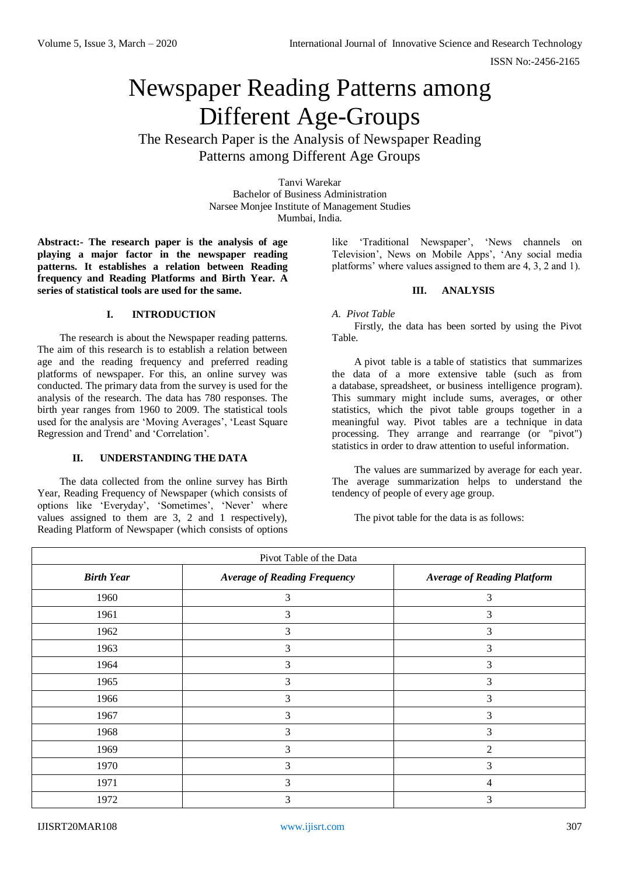# Newspaper Reading Patterns among Different Age-Groups

The Research Paper is the Analysis of Newspaper Reading Patterns among Different Age Groups

> Tanvi Warekar Bachelor of Business Administration Narsee Monjee Institute of Management Studies Mumbai, India.

**Abstract:- The research paper is the analysis of age playing a major factor in the newspaper reading patterns. It establishes a relation between Reading frequency and Reading Platforms and Birth Year. A series of statistical tools are used for the same.**

## **I. INTRODUCTION**

The research is about the Newspaper reading patterns. The aim of this research is to establish a relation between age and the reading frequency and preferred reading platforms of newspaper. For this, an online survey was conducted. The primary data from the survey is used for the analysis of the research. The data has 780 responses. The birth year ranges from 1960 to 2009. The statistical tools used for the analysis are 'Moving Averages', 'Least Square Regression and Trend' and 'Correlation'.

## **II. UNDERSTANDING THE DATA**

The data collected from the online survey has Birth Year, Reading Frequency of Newspaper (which consists of options like 'Everyday', 'Sometimes', 'Never' where values assigned to them are 3, 2 and 1 respectively), Reading Platform of Newspaper (which consists of options like 'Traditional Newspaper', 'News channels on Television', News on Mobile Apps', 'Any social media platforms' where values assigned to them are 4, 3, 2 and 1).

# **III. ANALYSIS**

#### *A. Pivot Table*

Firstly, the data has been sorted by using the Pivot Table.

A pivot table is a [table](https://en.wikipedia.org/wiki/Table_(information)) of statistics that summarizes the data of a more extensive table (such as from a [database,](https://en.wikipedia.org/wiki/Database) [spreadsheet,](https://en.wikipedia.org/wiki/Spreadsheet) or [business intelligence program\)](https://en.wikipedia.org/wiki/Business_intelligence_software). This summary might include sums, averages, or other statistics, which the pivot table groups together in a meaningful way. Pivot tables are a technique in [data](https://en.wikipedia.org/wiki/Data_processing)  [processing.](https://en.wikipedia.org/wiki/Data_processing) They arrange and rearrange (or "pivot") statistics in order to draw attention to useful information.

The values are summarized by average for each year. The average summarization helps to understand the tendency of people of every age group.

The pivot table for the data is as follows:

| Pivot Table of the Data |                                     |                                    |  |
|-------------------------|-------------------------------------|------------------------------------|--|
| <b>Birth Year</b>       | <b>Average of Reading Frequency</b> | <b>Average of Reading Platform</b> |  |
| 1960                    | 3                                   | 3                                  |  |
| 1961                    | 3                                   | 3                                  |  |
| 1962                    | 3                                   | 3                                  |  |
| 1963                    | 3                                   | 3                                  |  |
| 1964                    | 3                                   | 3                                  |  |
| 1965                    | 3                                   | 3                                  |  |
| 1966                    | 3                                   | 3                                  |  |
| 1967                    | 3                                   | $\mathfrak{Z}$                     |  |
| 1968                    | 3                                   | 3                                  |  |
| 1969                    | 3                                   | $\overline{2}$                     |  |
| 1970                    | 3                                   | 3                                  |  |
| 1971                    | 3                                   | 4                                  |  |
| 1972                    | 3                                   | 3                                  |  |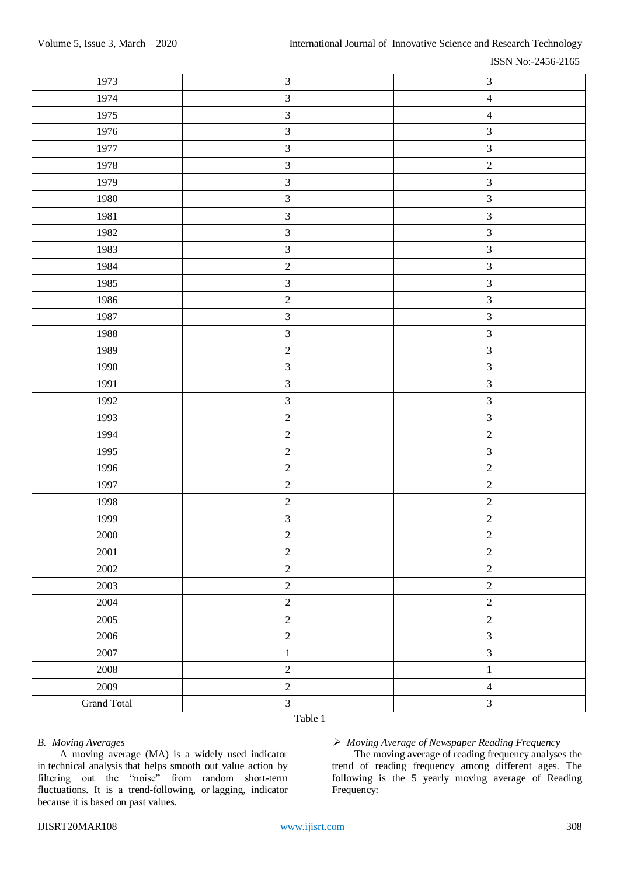| 1973               | $\sqrt{3}$     | $\mathfrak{Z}$ |
|--------------------|----------------|----------------|
| 1974               | $\overline{3}$ | $\overline{4}$ |
| 1975               | $\mathfrak{Z}$ | $\overline{4}$ |
| 1976               | $\mathfrak{Z}$ | $\mathfrak{Z}$ |
| 1977               | $\mathfrak{Z}$ | $\mathfrak{Z}$ |
| 1978               | $\mathfrak{Z}$ | $\sqrt{2}$     |
| 1979               | $\mathfrak{Z}$ | $\mathfrak{Z}$ |
| 1980               | $\overline{3}$ | $\overline{3}$ |
| 1981               | $\mathfrak{Z}$ | $\mathfrak{Z}$ |
| 1982               | $\mathfrak{Z}$ | $\overline{3}$ |
| 1983               | $\mathfrak{Z}$ | $\mathfrak{Z}$ |
| 1984               | $\sqrt{2}$     | $\mathfrak{Z}$ |
| 1985               | $\mathfrak{Z}$ | $\mathfrak{Z}$ |
| 1986               | $\sqrt{2}$     | $\mathfrak{Z}$ |
| 1987               | $\mathfrak{Z}$ | $\mathfrak{Z}$ |
| 1988               | $\mathfrak{Z}$ | $\mathfrak{Z}$ |
| 1989               | $\sqrt{2}$     | $\mathfrak{Z}$ |
| 1990               | $\mathfrak{Z}$ | $\mathfrak{Z}$ |
| 1991               | $\mathfrak{Z}$ | $\mathfrak{Z}$ |
| 1992               | $\mathfrak{Z}$ | $\mathfrak{Z}$ |
| 1993               | $\sqrt{2}$     | $\mathfrak{Z}$ |
| 1994               | $\sqrt{2}$     | $\sqrt{2}$     |
| 1995               | $\sqrt{2}$     | $\mathfrak{Z}$ |
| 1996               | $\sqrt{2}$     | $\sqrt{2}$     |
| 1997               | $\sqrt{2}$     | $\sqrt{2}$     |
| 1998               | $\sqrt{2}$     | $\sqrt{2}$     |
| 1999               | $\mathfrak{Z}$ | $\sqrt{2}$     |
| 2000               | $\sqrt{2}$     | $\sqrt{2}$     |
| $2001\,$           | $\sqrt{2}$     | $\sqrt{2}$     |
| 2002               | $\sqrt{2}$     | $\sqrt{2}$     |
| 2003               | $\sqrt{2}$     | $\sqrt{2}$     |
| 2004               | $\sqrt{2}$     | $\sqrt{2}$     |
| $2005\,$           | $\sqrt{2}$     | $\sqrt{2}$     |
| 2006               | $\sqrt{2}$     | $\mathfrak{Z}$ |
| $2007\,$           | $\,1$          | $\overline{3}$ |
| $2008\,$           | $\sqrt{2}$     | $\,1\,$        |
| 2009               | $\sqrt{2}$     | $\overline{4}$ |
| <b>Grand Total</b> | $\mathfrak{Z}$ | $\mathfrak{Z}$ |

Table 1

## *B. Moving Averages*

A moving average (MA) is a widely used indicator in [technical analysis](https://www.investopedia.com/terms/t/technicalanalysis.asp) that helps smooth out value action by filtering out the "noise" from random short-term fluctuations. It is a trend-following, or [lagging,](https://www.investopedia.com/terms/l/laggingindicator.asp) indicator because it is based on past values.

# *Moving Average of Newspaper Reading Frequency*

The moving average of reading frequency analyses the trend of reading frequency among different ages. The following is the 5 yearly moving average of Reading Frequency: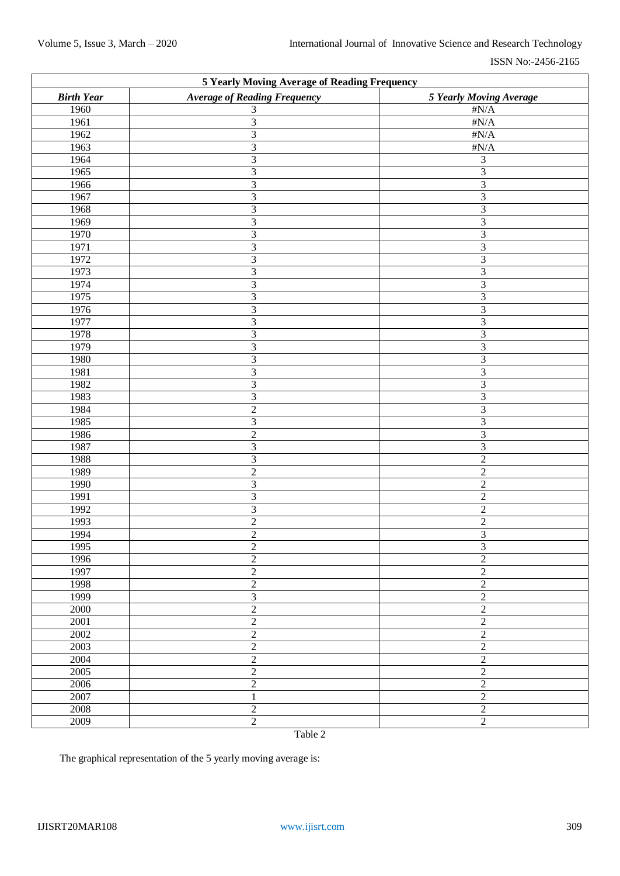| <b>5 Yearly Moving Average of Reading Frequency</b> |                                     |                             |  |  |
|-----------------------------------------------------|-------------------------------------|-----------------------------|--|--|
| <b>Birth Year</b>                                   | <b>Average of Reading Frequency</b> | 5 Yearly Moving Average     |  |  |
| 1960                                                | 3                                   | $\#N/A$                     |  |  |
| 1961                                                | 3                                   | $\sharp N/A$                |  |  |
| 1962                                                | 3                                   | $\#N/A$                     |  |  |
| 1963                                                | 3                                   | $\sharp N/A$                |  |  |
| 1964                                                | 3                                   | $\ensuremath{\mathfrak{Z}}$ |  |  |
| 1965                                                | 3                                   | $\overline{3}$              |  |  |
| 1966                                                | 3                                   | $\overline{\mathbf{3}}$     |  |  |
| 1967                                                | 3                                   | $\overline{\mathbf{3}}$     |  |  |
| 1968                                                | 3                                   | $\overline{\mathbf{3}}$     |  |  |
| 1969                                                | 3                                   | $\overline{\mathbf{3}}$     |  |  |
| $\overline{1970}$                                   | 3                                   | $\overline{3}$              |  |  |
| 1971                                                | 3                                   | $\overline{\mathbf{3}}$     |  |  |
| 1972                                                | 3                                   | $\overline{\mathbf{3}}$     |  |  |
| 1973                                                | 3                                   | $\overline{\mathbf{3}}$     |  |  |
| 1974                                                | 3                                   | $\overline{\mathbf{3}}$     |  |  |
| 1975                                                | 3                                   | $\overline{\mathbf{3}}$     |  |  |
| 1976                                                | 3                                   | $\overline{\mathbf{3}}$     |  |  |
| 1977                                                | 3                                   | $\overline{\mathbf{3}}$     |  |  |
| 1978                                                | 3                                   | $\overline{\mathbf{3}}$     |  |  |
| 1979                                                | 3                                   | $\overline{\mathbf{3}}$     |  |  |
| 1980                                                | 3                                   | $\overline{\mathbf{3}}$     |  |  |
| 1981                                                | 3                                   | $\overline{\mathbf{3}}$     |  |  |
| 1982                                                | 3                                   | $\overline{\mathbf{3}}$     |  |  |
| 1983                                                | 3                                   | $\mathfrak{Z}$              |  |  |
| 1984                                                | $\sqrt{2}$                          | $\overline{\mathbf{3}}$     |  |  |
| 1985                                                | 3                                   | $\mathfrak{Z}$              |  |  |
| 1986                                                | $\overline{c}$                      | $\mathfrak{Z}$              |  |  |
| 1987                                                | 3                                   | $\mathfrak{Z}$              |  |  |
| 1988                                                | 3                                   | $\overline{2}$              |  |  |
| 1989                                                | $\overline{2}$                      | $\overline{2}$              |  |  |
| 1990                                                | 3                                   | $\overline{2}$              |  |  |
| 1991                                                | 3                                   | $\overline{2}$              |  |  |
| 1992                                                | 3                                   | $\sqrt{2}$                  |  |  |
| 1993                                                | $\overline{2}$                      | $\overline{2}$              |  |  |
| 1994                                                | $\overline{2}$                      | $\mathfrak{Z}$              |  |  |
| 1995                                                | $\boldsymbol{2}$                    | $\mathfrak{Z}$              |  |  |
| 1996                                                | $\sqrt{2}$                          | $\overline{2}$              |  |  |
| 1997                                                | $\sqrt{2}$                          | $\sqrt{2}$                  |  |  |
| 1998                                                | $\sqrt{2}$                          | $\sqrt{2}$                  |  |  |
| 1999                                                | $\mathfrak 3$                       | $\sqrt{2}$                  |  |  |
| 2000                                                | $\sqrt{2}$                          | $\sqrt{2}$                  |  |  |
| 2001                                                | $\sqrt{2}$                          | $\sqrt{2}$                  |  |  |
| 2002                                                | $\sqrt{2}$                          | $\sqrt{2}$                  |  |  |
| 2003                                                | $\sqrt{2}$                          | $\sqrt{2}$                  |  |  |
| 2004                                                | $\sqrt{2}$                          | $\sqrt{2}$                  |  |  |
| 2005                                                | $\sqrt{2}$                          | $\sqrt{2}$                  |  |  |
| 2006                                                | $\sqrt{2}$                          | $\sqrt{2}$                  |  |  |
| 2007                                                | 1                                   | $\sqrt{2}$                  |  |  |
| 2008                                                | $\overline{2}$                      | $\sqrt{2}$                  |  |  |
| 2009                                                | $\sqrt{2}$                          | $\sqrt{2}$                  |  |  |
|                                                     | $T1$ $T2$                           |                             |  |  |

Table 2

The graphical representation of the 5 yearly moving average is: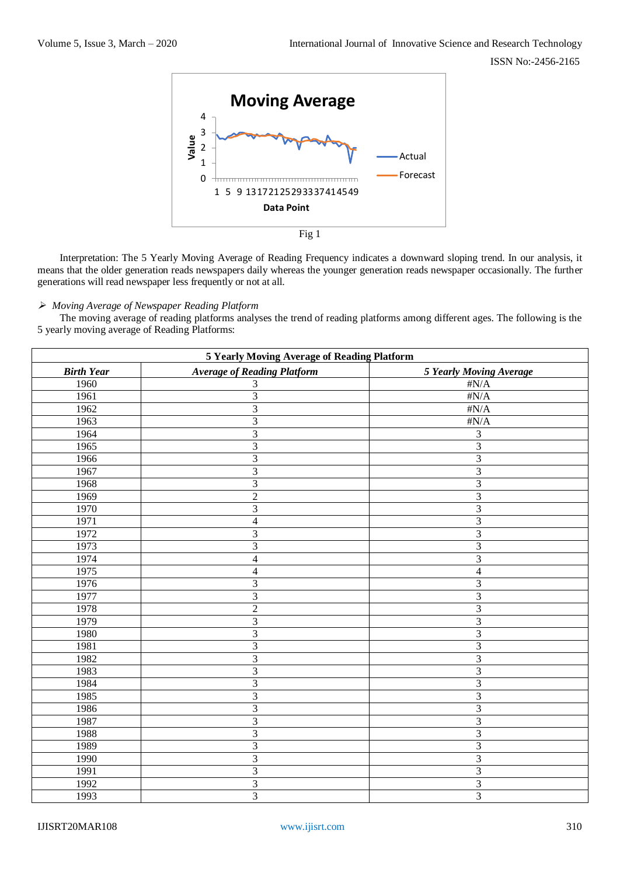

Interpretation: The 5 Yearly Moving Average of Reading Frequency indicates a downward sloping trend. In our analysis, it means that the older generation reads newspapers daily whereas the younger generation reads newspaper occasionally. The further generations will read newspaper less frequently or not at all.

#### *Moving Average of Newspaper Reading Platform*

The moving average of reading platforms analyses the trend of reading platforms among different ages. The following is the 5 yearly moving average of Reading Platforms:

| <b>5 Yearly Moving Average of Reading Platform</b> |                                    |                         |  |
|----------------------------------------------------|------------------------------------|-------------------------|--|
| <b>Birth Year</b>                                  | <b>Average of Reading Platform</b> | 5 Yearly Moving Average |  |
| 1960                                               | 3                                  | $\sharp N/A$            |  |
| 1961                                               | $\overline{3}$                     | $\#N/A$                 |  |
| 1962                                               | $\overline{3}$                     | $\#N/A$                 |  |
| 1963                                               | $\overline{3}$                     | $\#N/A$                 |  |
| 1964                                               | $\overline{\mathbf{3}}$            | 3                       |  |
| 1965                                               | $\overline{3}$                     | $\overline{3}$          |  |
| 1966                                               | $\overline{3}$                     | $\overline{3}$          |  |
| 1967                                               | $\overline{3}$                     | $\overline{3}$          |  |
| 1968                                               | $\overline{3}$                     | $\overline{3}$          |  |
| 1969                                               | $\overline{2}$                     | $\overline{3}$          |  |
| 1970                                               | $\overline{\mathbf{3}}$            | $\overline{3}$          |  |
| 1971                                               | 4                                  | $\overline{\mathbf{3}}$ |  |
| 1972                                               | $\overline{\mathbf{3}}$            | $\overline{3}$          |  |
| 1973                                               | 3                                  | 3                       |  |
| 1974                                               | $\overline{\mathbf{4}}$            | $\overline{3}$          |  |
| 1975                                               | $\overline{\mathbf{4}}$            | $\overline{4}$          |  |
| 1976                                               | $\overline{\mathbf{3}}$            | $\overline{3}$          |  |
| 1977                                               | $\overline{3}$                     | $\overline{3}$          |  |
| 1978                                               | $\overline{2}$                     | $\overline{3}$          |  |
| 1979                                               | $\overline{3}$                     | $\overline{3}$          |  |
| 1980                                               | $\overline{3}$                     | $\overline{3}$          |  |
| 1981                                               | $\overline{3}$                     | $\overline{3}$          |  |
| 1982                                               | $\overline{3}$                     | $\overline{3}$          |  |
| 1983                                               | $\overline{3}$                     | $\overline{3}$          |  |
| 1984                                               | $\overline{\mathbf{3}}$            | $\overline{3}$          |  |
| 1985                                               | $\overline{3}$                     | $\overline{3}$          |  |
| 1986                                               | $\overline{3}$                     | $\overline{3}$          |  |
| 1987                                               | 3                                  | 3                       |  |
| 1988                                               | 3                                  | $\overline{\mathbf{3}}$ |  |
| 1989                                               | $\overline{3}$                     | $\overline{3}$          |  |
| 1990                                               | 3                                  | 3                       |  |
| 1991                                               | $\overline{\mathbf{3}}$            | $\overline{3}$          |  |
| 1992                                               | $\overline{\mathbf{3}}$            | $\overline{\mathbf{3}}$ |  |
| 1993                                               | $\overline{3}$                     | $\overline{3}$          |  |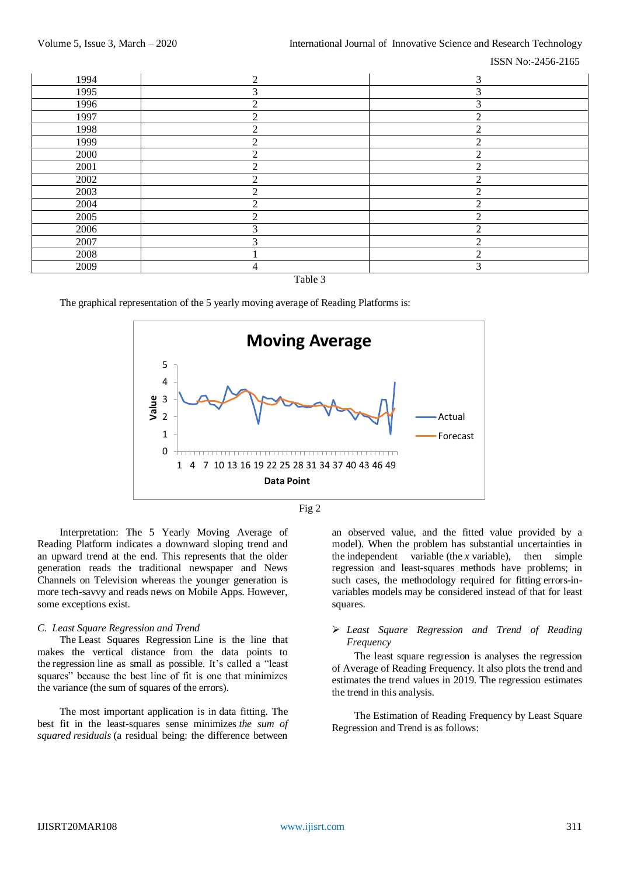ISSN No:-2456-2165



Table 3

The graphical representation of the 5 yearly moving average of Reading Platforms is:





Interpretation: The 5 Yearly Moving Average of Reading Platform indicates a downward sloping trend and an upward trend at the end. This represents that the older generation reads the traditional newspaper and News Channels on Television whereas the younger generation is more tech-savvy and reads news on Mobile Apps. However, some exceptions exist.

#### *C. Least Square Regression and Trend*

The Least Squares Regression Line is the line that makes the vertical distance from the data points to the regression line as small as possible. It's called a "least squares" because the best line of fit is one that minimizes the variance (the sum of squares of the errors).

The most important application is in [data fitting.](https://en.wikipedia.org/wiki/Curve_fitting) The best fit in the least-squares sense minimizes *the sum of squared [residuals](https://en.wikipedia.org/wiki/Errors_and_residuals_in_statistics)* (a residual being: the difference between an observed value, and the fitted value provided by a model). When the problem has substantial uncertainties in the [independent variable](https://en.wikipedia.org/wiki/Independent_variable) (the  $x$  variable), then simple regression and least-squares methods have problems; in such cases, the methodology required for fitting [errors-in](https://en.wikipedia.org/wiki/Errors-in-variables_models)[variables models](https://en.wikipedia.org/wiki/Errors-in-variables_models) may be considered instead of that for least squares.

## *Least Square Regression and Trend of Reading Frequency*

The least square regression is analyses the regression of Average of Reading Frequency. It also plots the trend and estimates the trend values in 2019. The regression estimates the trend in this analysis.

The Estimation of Reading Frequency by Least Square Regression and Trend is as follows: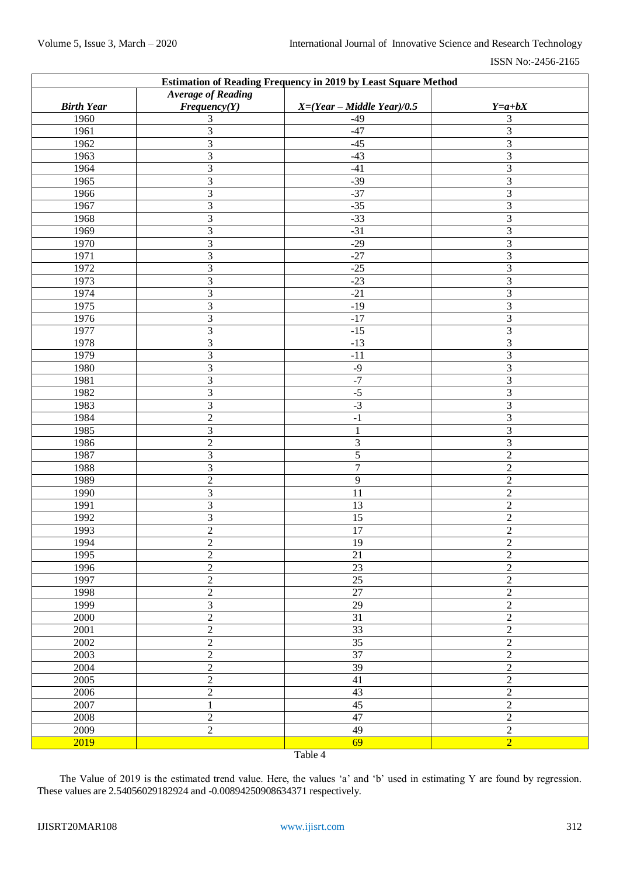| <b>Estimation of Reading Frequency in 2019 by Least Square Method</b> |                           |                              |                         |
|-----------------------------------------------------------------------|---------------------------|------------------------------|-------------------------|
|                                                                       | <b>Average of Reading</b> |                              |                         |
| <b>Birth Year</b>                                                     | Frequency(Y)              | $X=(Year - Middle Year)/0.5$ | $Y=a+bX$                |
| 1960                                                                  | 3                         | $-49$                        | 3                       |
| 1961                                                                  | $\overline{3}$            | $-47$                        | $\overline{3}$          |
| 1962                                                                  | $\overline{3}$            | $-45$                        | $\overline{\mathbf{3}}$ |
| 1963                                                                  | $\overline{3}$            | $-43$                        | $\overline{3}$          |
| 1964                                                                  | $\overline{3}$            | $-41$                        | $\overline{3}$          |
| 1965                                                                  | $\overline{3}$            | $-39$                        | $\overline{\mathbf{3}}$ |
| 1966                                                                  | $\overline{3}$            | $-37$                        | $\overline{\mathbf{3}}$ |
| 1967                                                                  | $\overline{3}$            | $-35$                        | $\overline{3}$          |
| 1968                                                                  | $\overline{3}$            | $-33$                        | $\overline{3}$          |
| 1969                                                                  | $\overline{3}$            | $-31$                        | $\overline{3}$          |
| 1970                                                                  | $\overline{3}$            | $-29$                        | $\overline{3}$          |
| 1971                                                                  | $\overline{3}$            | $-27$                        | $\overline{\mathbf{3}}$ |
| 1972                                                                  | $\overline{3}$            | $-25$                        | $\overline{\mathbf{3}}$ |
| 1973                                                                  | $\overline{3}$            | $-23$                        | $\overline{3}$          |
| 1974                                                                  | $\overline{3}$            | $-21$                        | $\overline{3}$          |
| 1975                                                                  | $\overline{3}$            | $-19$                        | $\overline{3}$          |
| 1976                                                                  | $\overline{3}$            | $-17$                        | $\overline{3}$          |
| 1977                                                                  | $\overline{3}$            | $-15$                        | $\overline{\mathbf{3}}$ |
| 1978                                                                  | 3                         | $-13$                        | 3                       |
| 1979                                                                  | $\overline{3}$            | $-11$                        | $\overline{3}$          |
| 1980                                                                  | $\overline{3}$            | $-9$                         | $\overline{3}$          |
| 1981                                                                  | $\overline{3}$            | $-7$                         | $\mathfrak{Z}$          |
| 1982                                                                  | $\overline{3}$            | $-5$                         | $\mathfrak{Z}$          |
| 1983                                                                  | $\overline{3}$            | $-3$                         | $\overline{3}$          |
| 1984                                                                  | $\overline{2}$            | $-1$                         | $\overline{3}$          |
| 1985                                                                  | $\overline{3}$            | 1                            | $\overline{3}$          |
| 1986                                                                  | $\overline{2}$            | 3                            | $\mathfrak{Z}$          |
| 1987                                                                  | $\overline{3}$            | $\overline{5}$               | $\overline{2}$          |
| 1988                                                                  | $\overline{3}$            | $\overline{7}$               | $\overline{2}$          |
| 1989                                                                  | $\overline{2}$            | $\overline{9}$               | $\overline{2}$          |
| 1990                                                                  | $\overline{3}$            | 11                           | $\overline{2}$          |
| 1991                                                                  | $\overline{3}$            | 13                           | $\overline{2}$          |
| 1992                                                                  | $\overline{3}$            | $\overline{15}$              | $\overline{2}$          |
| 1993                                                                  | $\overline{2}$            | 17                           | $\sqrt{2}$              |
| 1994                                                                  | $\boldsymbol{2}$          | 19                           | 2                       |
| 1995                                                                  | $\overline{2}$            | $\overline{21}$              | $\overline{2}$          |
| 1996                                                                  | $\overline{2}$            | $\overline{23}$              | $\overline{2}$          |
| 1997                                                                  | $\overline{2}$            | $\overline{25}$              | $\overline{2}$          |
| 1998                                                                  | $\overline{2}$            | $\overline{27}$              | $\overline{2}$          |
| 1999                                                                  | $\overline{\mathbf{3}}$   | $\overline{29}$              | $\overline{2}$          |
| 2000                                                                  | $\overline{2}$            | 31                           | $\overline{2}$          |
| 2001                                                                  | $\overline{2}$            | $\overline{33}$              | $\overline{2}$          |
| 2002                                                                  | $\overline{2}$            | $\overline{35}$              | $\overline{2}$          |
| 2003                                                                  | $\overline{2}$            | 37                           | $\overline{2}$          |
| 2004                                                                  | $\overline{2}$            | $\overline{39}$              | $\overline{2}$          |
| 2005                                                                  | $\overline{2}$            | $\overline{41}$              | $\overline{2}$          |
| 2006                                                                  | $\overline{2}$            | $\overline{43}$              | $\overline{2}$          |
| 2007                                                                  | $\mathbf{1}$              | $\overline{45}$              | $\overline{2}$          |
| 2008                                                                  | $\overline{2}$            | 47                           | $\overline{2}$          |
| 2009                                                                  | $\overline{2}$            | 49                           | $\overline{2}$          |
| 2019                                                                  |                           | 69                           | $\overline{2}$          |
|                                                                       |                           | $T = 11.4$                   |                         |

Table 4

The Value of 2019 is the estimated trend value. Here, the values 'a' and 'b' used in estimating Y are found by regression. These values are 2.54056029182924 and -0.00894250908634371 respectively.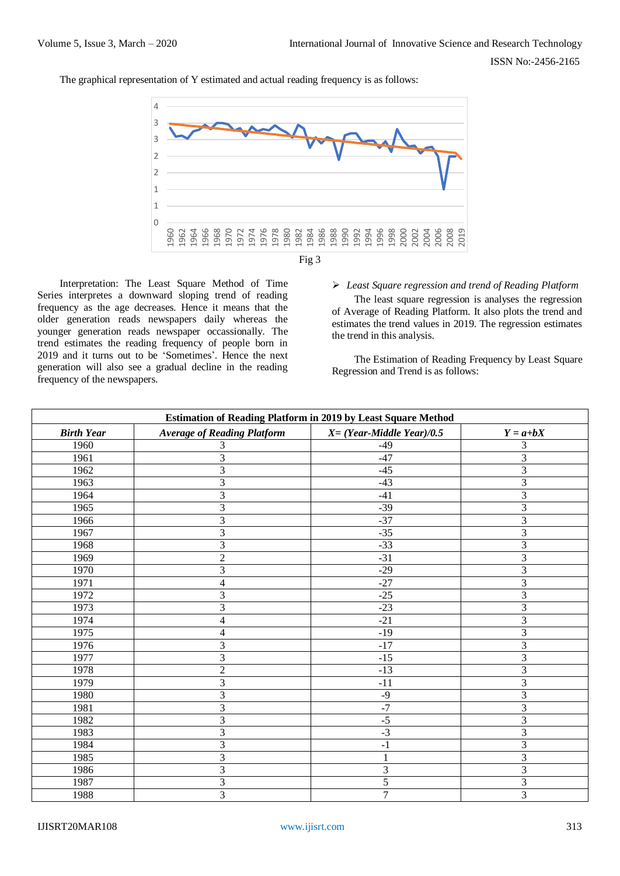The graphical representation of Y estimated and actual reading frequency is as follows:



Interpretation: The Least Square Method of Time Series interpretes a downward sloping trend of reading frequency as the age decreases. Hence it means that the older generation reads newspapers daily whereas the younger generation reads newspaper occassionally. The trend estimates the reading frequency of people born in 2019 and it turns out to be 'Sometimes'. Hence the next generation will also see a gradual decline in the reading frequency of the newspapers.

*Least Square regression and trend of Reading Platform*

The least square regression is analyses the regression of Average of Reading Platform. It also plots the trend and estimates the trend values in 2019. The regression estimates the trend in this analysis.

The Estimation of Reading Frequency by Least Square Regression and Trend is as follows:

| <b>Estimation of Reading Platform in 2019 by Least Square Method</b> |                                    |                               |                         |  |
|----------------------------------------------------------------------|------------------------------------|-------------------------------|-------------------------|--|
| <b>Birth Year</b>                                                    | <b>Average of Reading Platform</b> | $X = (Year- Middle Year)/0.5$ | $Y = a + bX$            |  |
| 1960                                                                 |                                    | $-49$                         | 3                       |  |
| 1961                                                                 | 3                                  | $-47$                         | $\overline{3}$          |  |
| 1962                                                                 | 3                                  | $-45$                         | $\overline{3}$          |  |
| 1963                                                                 | 3                                  | $-43$                         | $\overline{3}$          |  |
| 1964                                                                 | 3                                  | $-41$                         | $\overline{3}$          |  |
| 1965                                                                 | $\overline{3}$                     | $-39$                         | $\overline{3}$          |  |
| 1966                                                                 | $\overline{3}$                     | $-37$                         | $\overline{3}$          |  |
| 1967                                                                 | 3                                  | $-35$                         | $\overline{3}$          |  |
| 1968                                                                 | 3                                  | $-33$                         | 3                       |  |
| 1969                                                                 | $\overline{2}$                     | $-31$                         | 3                       |  |
| 1970                                                                 | 3                                  | $-29$                         | $\overline{3}$          |  |
| 1971                                                                 | $\overline{\mathcal{L}}$           | $-27$                         | $\overline{3}$          |  |
| 1972                                                                 | 3                                  | $-25$                         | $\overline{3}$          |  |
| 1973                                                                 | 3                                  | $-23$                         | $\overline{3}$          |  |
| 1974                                                                 | $\overline{\mathbf{4}}$            | $-21$                         | $\overline{3}$          |  |
| 1975                                                                 | $\overline{\mathcal{L}}$           | $-19$                         | $\overline{3}$          |  |
| 1976                                                                 | 3                                  | $-17$                         | $\overline{3}$          |  |
| 1977                                                                 | 3                                  | $-15$                         | $\overline{\mathbf{3}}$ |  |
| 1978                                                                 | $\overline{2}$                     | $-13$                         | $\overline{3}$          |  |
| 1979                                                                 | 3                                  | $-11$                         | 3                       |  |
| 1980                                                                 | 3                                  | $-9$                          | $\overline{3}$          |  |
| 1981                                                                 | 3                                  | $-7$                          | $\overline{3}$          |  |
| 1982                                                                 | 3                                  | $-5$                          | $\overline{3}$          |  |
| 1983                                                                 | 3                                  | $-3$                          | 3                       |  |
| 1984                                                                 | 3                                  | $-1$                          | $\overline{3}$          |  |
| 1985                                                                 | $\mathfrak{Z}$                     | 1                             | $\overline{3}$          |  |
| 1986                                                                 | 3                                  | 3                             | $\overline{3}$          |  |
| 1987                                                                 | 3                                  | 5                             | 3                       |  |
| 1988                                                                 | $\overline{3}$                     | $\overline{7}$                | $\overline{3}$          |  |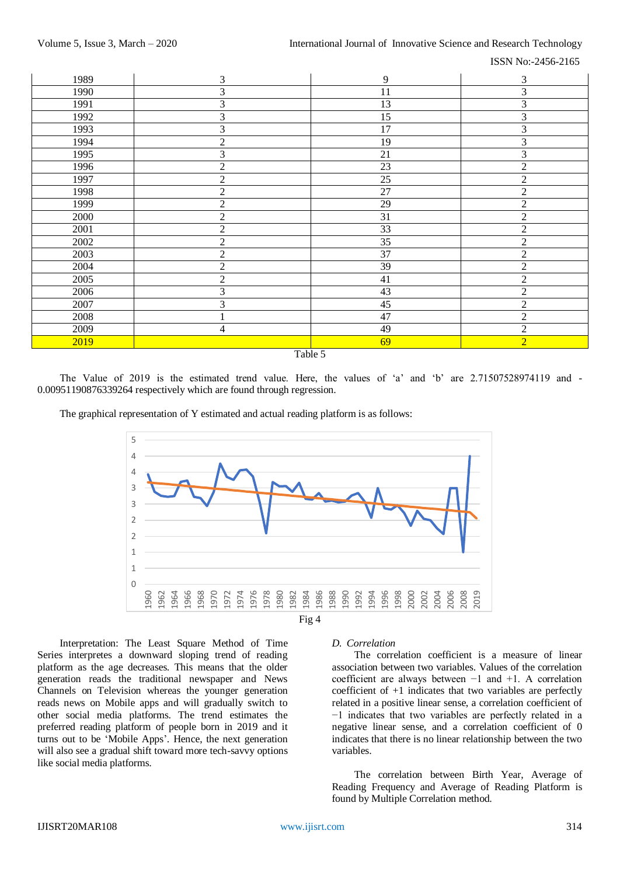ISSN No:-2456-2165

| 1989    | 3              | 9  | $\mathfrak{Z}$ |
|---------|----------------|----|----------------|
| 1990    | 3              | 11 | 3              |
| 1991    | 3              | 13 | $\mathfrak{Z}$ |
| 1992    | 3              | 15 | 3              |
| 1993    | 3              | 17 | 3              |
| 1994    | $\overline{2}$ | 19 | 3              |
| 1995    | $\mathfrak{Z}$ | 21 | $\mathfrak{Z}$ |
| 1996    | $\overline{2}$ | 23 | $\overline{2}$ |
| 1997    | $\overline{2}$ | 25 | $\overline{2}$ |
| 1998    | $\mathfrak{2}$ | 27 | $\sqrt{2}$     |
| 1999    | $\sqrt{2}$     | 29 | $\sqrt{2}$     |
| 2000    | $\sqrt{2}$     | 31 | $\overline{c}$ |
| 2001    | $\overline{2}$ | 33 | $\sqrt{2}$     |
| 2002    | $\mathfrak{2}$ | 35 | $\overline{2}$ |
| 2003    | $\mathfrak 2$  | 37 | $\mathfrak 2$  |
| 2004    | $\overline{2}$ | 39 | $\overline{2}$ |
| 2005    | $\overline{2}$ | 41 | $\sqrt{2}$     |
| 2006    | 3              | 43 | $\overline{2}$ |
| 2007    | 3              | 45 | $\sqrt{2}$     |
| 2008    |                | 47 | $\sqrt{2}$     |
| 2009    | 4              | 49 | $\sqrt{2}$     |
| 2019    |                | 69 | $\overline{2}$ |
| Table 5 |                |    |                |

The Value of 2019 is the estimated trend value. Here, the values of 'a' and 'b' are 2.71507528974119 and -0.00951190876339264 respectively which are found through regression.

The graphical representation of Y estimated and actual reading platform is as follows:



Interpretation: The Least Square Method of Time Series interpretes a downward sloping trend of reading platform as the age decreases. This means that the older generation reads the traditional newspaper and News Channels on Television whereas the younger generation reads news on Mobile apps and will gradually switch to other social media platforms. The trend estimates the preferred reading platform of people born in 2019 and it turns out to be 'Mobile Apps'. Hence, the next generation will also see a gradual shift toward more tech-savvy options like social media platforms.

#### *D. Correlation*

The correlation coefficient is a measure of linear association between two variables. Values of the correlation coefficient are always between −1 and +1. A correlation coefficient of +1 indicates that two variables are perfectly related in a positive linear sense, a correlation coefficient of −1 indicates that two variables are perfectly related in a negative linear sense, and a correlation coefficient of 0 indicates that there is no linear relationship between the two variables.

The correlation between Birth Year, Average of Reading Frequency and Average of Reading Platform is found by Multiple Correlation method.